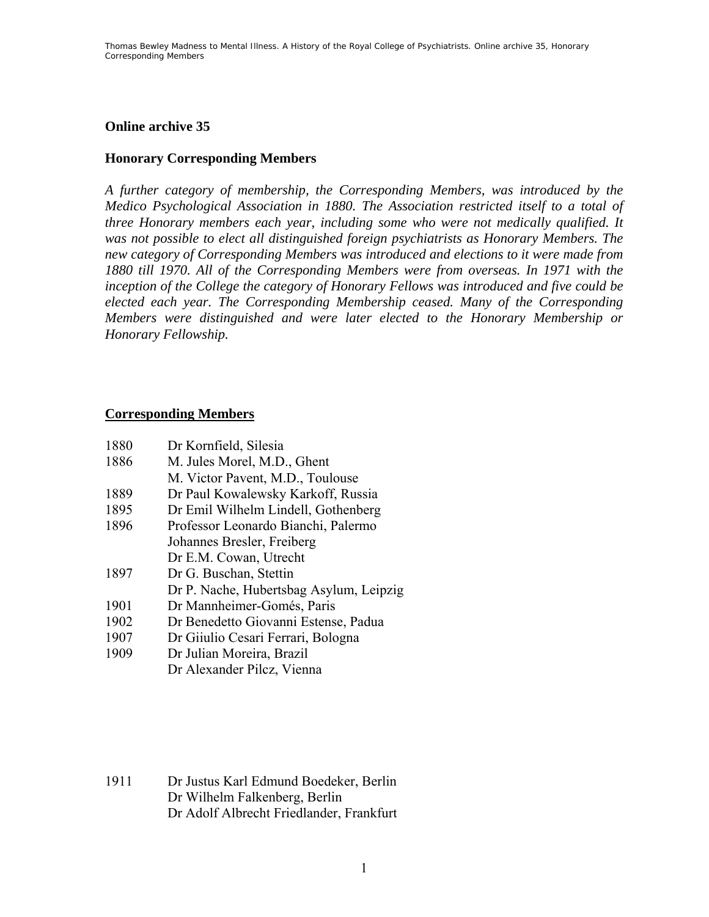## **Online archive 35**

## **Honorary Corresponding Members**

*A further category of membership, the Corresponding Members, was introduced by the Medico Psychological Association in 1880. The Association restricted itself to a total of three Honorary members each year, including some who were not medically qualified. It was not possible to elect all distinguished foreign psychiatrists as Honorary Members. The new category of Corresponding Members was introduced and elections to it were made from 1880 till 1970. All of the Corresponding Members were from overseas. In 1971 with the inception of the College the category of Honorary Fellows was introduced and five could be elected each year. The Corresponding Membership ceased. Many of the Corresponding Members were distinguished and were later elected to the Honorary Membership or Honorary Fellowship.* 

## **Corresponding Members**

| 1880 | Dr Kornfield, Silesia                   |
|------|-----------------------------------------|
| 1886 | M. Jules Morel, M.D., Ghent             |
|      | M. Victor Pavent, M.D., Toulouse        |
| 1889 | Dr Paul Kowalewsky Karkoff, Russia      |
| 1895 | Dr Emil Wilhelm Lindell, Gothenberg     |
| 1896 | Professor Leonardo Bianchi, Palermo     |
|      | Johannes Bresler, Freiberg              |
|      | Dr E.M. Cowan, Utrecht                  |
| 1897 | Dr G. Buschan, Stettin                  |
|      | Dr P. Nache, Hubertsbag Asylum, Leipzig |
| 1901 | Dr Mannheimer-Gomés, Paris              |
| 1902 | Dr Benedetto Giovanni Estense, Padua    |
| 1907 | Dr Giiulio Cesari Ferrari, Bologna      |
| 1909 | Dr Julian Moreira, Brazil               |
|      | Dr Alexander Pilcz, Vienna              |

1911 Dr Justus Karl Edmund Boedeker, Berlin Dr Wilhelm Falkenberg, Berlin Dr Adolf Albrecht Friedlander, Frankfurt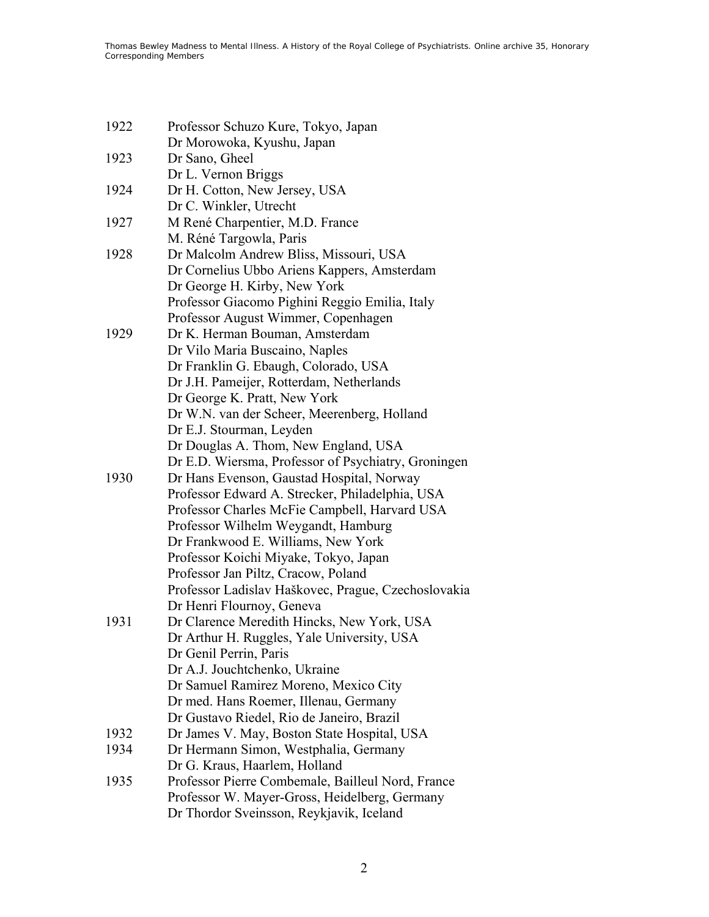| 1922 | Professor Schuzo Kure, Tokyo, Japan                 |
|------|-----------------------------------------------------|
|      | Dr Morowoka, Kyushu, Japan                          |
| 1923 | Dr Sano, Gheel                                      |
|      | Dr L. Vernon Briggs                                 |
| 1924 | Dr H. Cotton, New Jersey, USA                       |
|      | Dr C. Winkler, Utrecht                              |
| 1927 | M René Charpentier, M.D. France                     |
|      | M. Réné Targowla, Paris                             |
| 1928 | Dr Malcolm Andrew Bliss, Missouri, USA              |
|      | Dr Cornelius Ubbo Ariens Kappers, Amsterdam         |
|      | Dr George H. Kirby, New York                        |
|      | Professor Giacomo Pighini Reggio Emilia, Italy      |
|      | Professor August Wimmer, Copenhagen                 |
| 1929 | Dr K. Herman Bouman, Amsterdam                      |
|      | Dr Vilo Maria Buscaino, Naples                      |
|      | Dr Franklin G. Ebaugh, Colorado, USA                |
|      | Dr J.H. Pameijer, Rotterdam, Netherlands            |
|      | Dr George K. Pratt, New York                        |
|      | Dr W.N. van der Scheer, Meerenberg, Holland         |
|      | Dr E.J. Stourman, Leyden                            |
|      | Dr Douglas A. Thom, New England, USA                |
|      | Dr E.D. Wiersma, Professor of Psychiatry, Groningen |
| 1930 | Dr Hans Evenson, Gaustad Hospital, Norway           |
|      | Professor Edward A. Strecker, Philadelphia, USA     |
|      | Professor Charles McFie Campbell, Harvard USA       |
|      | Professor Wilhelm Weygandt, Hamburg                 |
|      | Dr Frankwood E. Williams, New York                  |
|      | Professor Koichi Miyake, Tokyo, Japan               |
|      | Professor Jan Piltz, Cracow, Poland                 |
|      | Professor Ladislav Haškovec, Prague, Czechoslovakia |
|      | Dr Henri Flournoy, Geneva                           |
| 1931 | Dr Clarence Meredith Hincks, New York, USA          |
|      | Dr Arthur H. Ruggles, Yale University, USA          |
|      | Dr Genil Perrin, Paris                              |
|      | Dr A.J. Jouchtchenko, Ukraine                       |
|      | Dr Samuel Ramirez Moreno, Mexico City               |
|      | Dr med. Hans Roemer, Illenau, Germany               |
|      | Dr Gustavo Riedel, Rio de Janeiro, Brazil           |
| 1932 | Dr James V. May, Boston State Hospital, USA         |
| 1934 | Dr Hermann Simon, Westphalia, Germany               |
|      | Dr G. Kraus, Haarlem, Holland                       |
| 1935 | Professor Pierre Combemale, Bailleul Nord, France   |
|      | Professor W. Mayer-Gross, Heidelberg, Germany       |
|      | Dr Thordor Sveinsson, Reykjavik, Iceland            |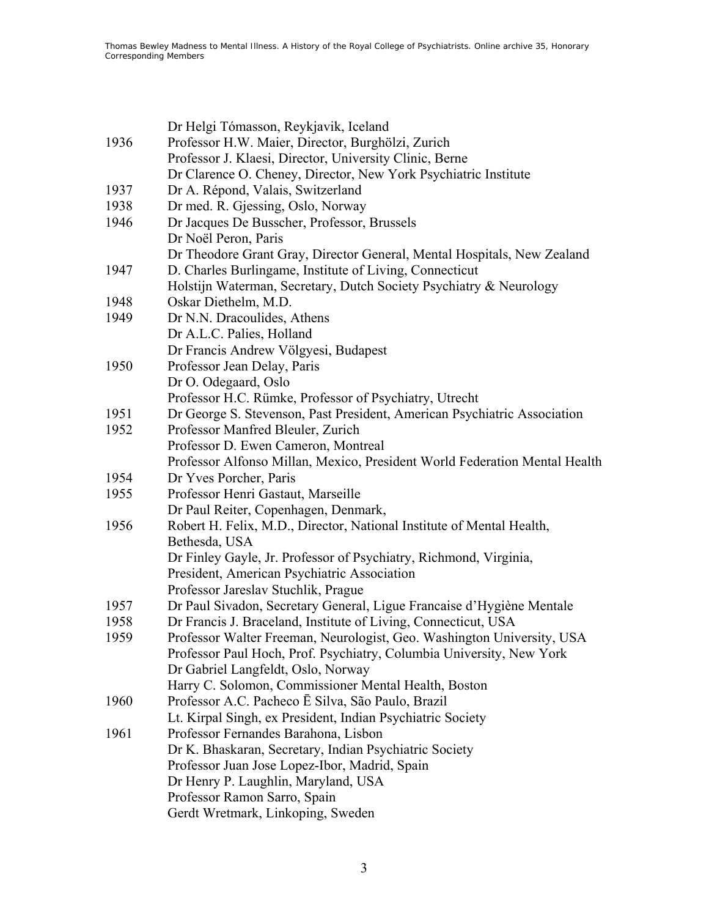|      | Dr Helgi Tómasson, Reykjavik, Iceland                                      |
|------|----------------------------------------------------------------------------|
| 1936 | Professor H.W. Maier, Director, Burghölzi, Zurich                          |
|      | Professor J. Klaesi, Director, University Clinic, Berne                    |
|      | Dr Clarence O. Cheney, Director, New York Psychiatric Institute            |
| 1937 | Dr A. Répond, Valais, Switzerland                                          |
| 1938 | Dr med. R. Gjessing, Oslo, Norway                                          |
| 1946 | Dr Jacques De Busscher, Professor, Brussels                                |
|      | Dr Noël Peron, Paris                                                       |
|      | Dr Theodore Grant Gray, Director General, Mental Hospitals, New Zealand    |
| 1947 | D. Charles Burlingame, Institute of Living, Connecticut                    |
|      | Holstijn Waterman, Secretary, Dutch Society Psychiatry & Neurology         |
| 1948 | Oskar Diethelm, M.D.                                                       |
| 1949 | Dr N.N. Dracoulides, Athens                                                |
|      | Dr A.L.C. Palies, Holland                                                  |
|      | Dr Francis Andrew Völgyesi, Budapest                                       |
| 1950 | Professor Jean Delay, Paris                                                |
|      | Dr O. Odegaard, Oslo                                                       |
|      | Professor H.C. Rümke, Professor of Psychiatry, Utrecht                     |
| 1951 | Dr George S. Stevenson, Past President, American Psychiatric Association   |
| 1952 | Professor Manfred Bleuler, Zurich                                          |
|      | Professor D. Ewen Cameron, Montreal                                        |
|      | Professor Alfonso Millan, Mexico, President World Federation Mental Health |
| 1954 | Dr Yves Porcher, Paris                                                     |
| 1955 | Professor Henri Gastaut, Marseille                                         |
|      | Dr Paul Reiter, Copenhagen, Denmark,                                       |
| 1956 | Robert H. Felix, M.D., Director, National Institute of Mental Health,      |
|      | Bethesda, USA                                                              |
|      | Dr Finley Gayle, Jr. Professor of Psychiatry, Richmond, Virginia,          |
|      | President, American Psychiatric Association                                |
|      | Professor Jareslav Stuchlik, Prague                                        |
| 1957 | Dr Paul Sivadon, Secretary General, Ligue Francaise d'Hygiène Mentale      |
| 1958 | Dr Francis J. Braceland, Institute of Living, Connecticut, USA             |
| 1959 | Professor Walter Freeman, Neurologist, Geo. Washington University, USA     |
|      | Professor Paul Hoch, Prof. Psychiatry, Columbia University, New York       |
|      | Dr Gabriel Langfeldt, Oslo, Norway                                         |
|      | Harry C. Solomon, Commissioner Mental Health, Boston                       |
| 1960 | Professor A.C. Pacheco E Silva, São Paulo, Brazil                          |
|      | Lt. Kirpal Singh, ex President, Indian Psychiatric Society                 |
| 1961 | Professor Fernandes Barahona, Lisbon                                       |
|      | Dr K. Bhaskaran, Secretary, Indian Psychiatric Society                     |
|      | Professor Juan Jose Lopez-Ibor, Madrid, Spain                              |
|      | Dr Henry P. Laughlin, Maryland, USA                                        |
|      | Professor Ramon Sarro, Spain                                               |
|      | Gerdt Wretmark, Linkoping, Sweden                                          |